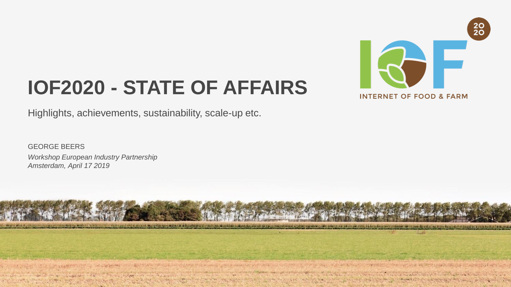

#### **IOF2020 - STATE OF AFFAIRS**

Highlights, achievements, sustainability, scale-up etc.

GEORGE BEERS *Workshop European Industry Partnership Amsterdam, April 17 2019*

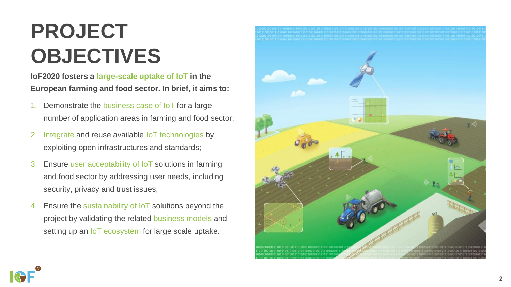### **PROJECT OBJECTIVES**

**IoF2020 fosters a large -scale uptake of IoT in the European farming and food sector. In brief, it aims to:**

- 1. Demonstrate the business case of IoT for a large number of application areas in farming and food sector;
- 2. Integrate and reuse available IoT technologies by exploiting open infrastructures and standards;
- 3. Ensure user acceptability of IoT solutions in farming and food sector by addressing user needs, including security, privacy and trust issues;
- 4. Ensure the sustainability of IoT solutions beyond the project by validating the related business models and setting up an IoT ecosystem for large scale uptake.



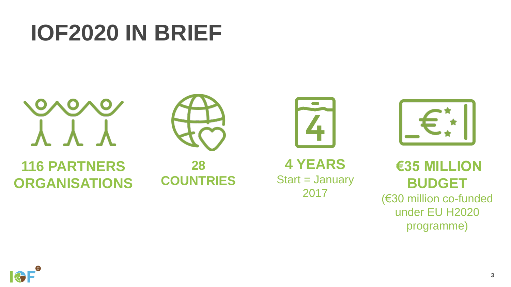# **IOF2020 IN BRIEF**





**116 PARTNERS ORGANISATIONS**

**28 COUNTRIES**

**4 YEARS** Start = January 2017



**€35 MILLION BUDGET** (€30 million co-funded under EU H2020 programme)

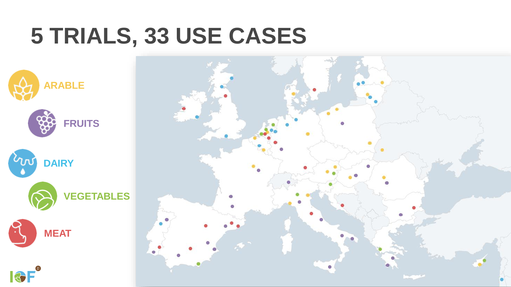## **5 TRIALS, 33 USE CASES**

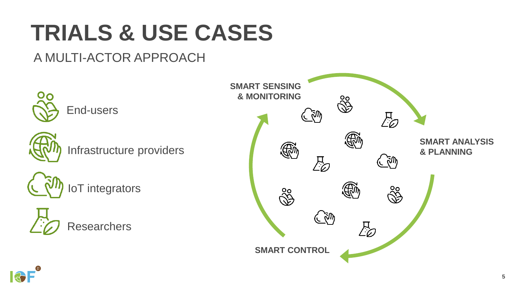# **TRIALS & USE CASES**

#### A MULTI-ACTOR APPROACH



Infrastructure providers



IoT integrators





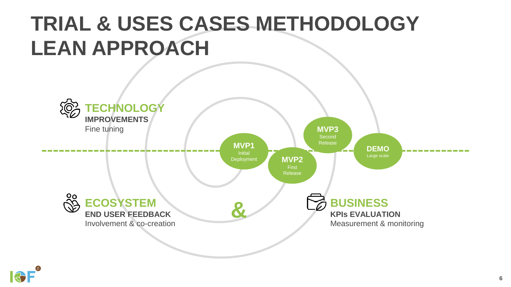### **TRIAL & USES CASES METHODOLOGY LEAN APPROACH**



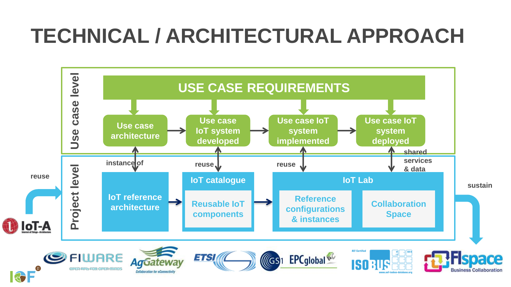#### **TECHNICAL / ARCHITECTURAL APPROACH**

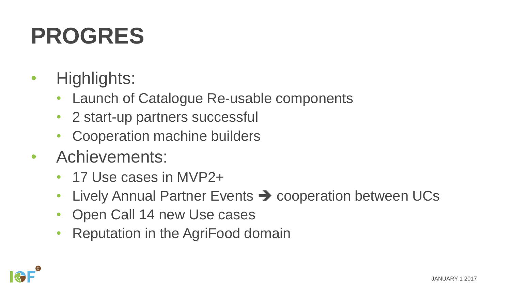# **PROGRES**

- Highlights:
	- Launch of Catalogue Re-usable components
	- 2 start-up partners successful
	- Cooperation machine builders
- Achievements:
	- 17 Use cases in MVP2+
	- Lively Annual Partner Events → cooperation between UCs
	- Open Call 14 new Use cases
	- Reputation in the AgriFood domain

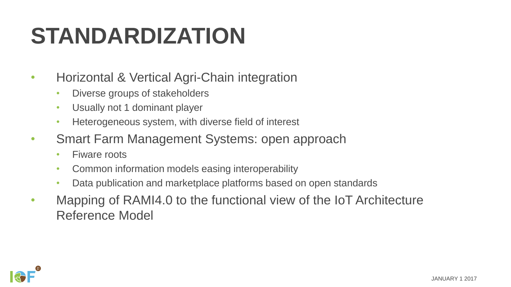# **STANDARDIZATION**

- Horizontal & Vertical Agri-Chain integration
	- Diverse groups of stakeholders
	- Usually not 1 dominant player
	- Heterogeneous system, with diverse field of interest
- Smart Farm Management Systems: open approach
	- Fiware roots
	- Common information models easing interoperability
	- Data publication and marketplace platforms based on open standards
- Mapping of RAMI4.0 to the functional view of the IoT Architecture Reference Model

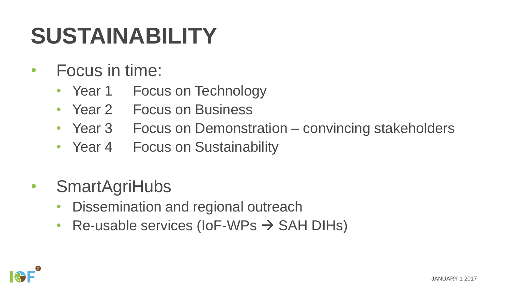# **SUSTAINABILITY**

- Focus in time:
	- Year 1 Focus on Technology
	- Year 2 Focus on Business
	- Year 3 Focus on Demonstration convincing stakeholders
	- Year 4 Focus on Sustainability
- SmartAgriHubs
	- Dissemination and regional outreach
	- Re-usable services (IoF-WPs  $\rightarrow$  SAH DIHs)

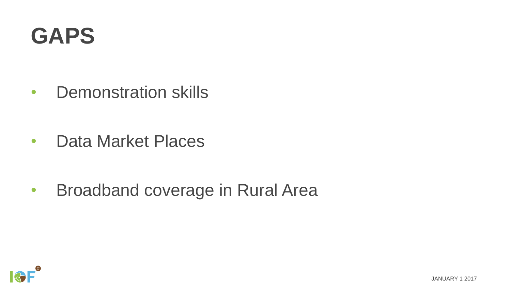### **GAPS**

• Demonstration skills

• Data Market Places

• Broadband coverage in Rural Area

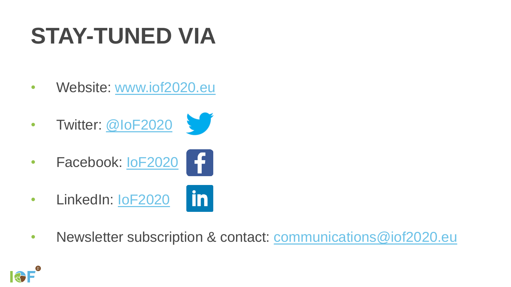# **STAY-TUNED VIA**

- Website: [www.iof2020.eu](http://www.iof2020.eu/)
- Twitter: [@IoF2020](https://twitter.com/IoF2020)
- Facebook: **IoF2020** Æ.
- LinkedIn: [IoF2020](https://www.linkedin.com/company/iof2020/)
- Newsletter subscription & contact: [communications@iof2020.eu](mailto:communications@iof2020.eu)